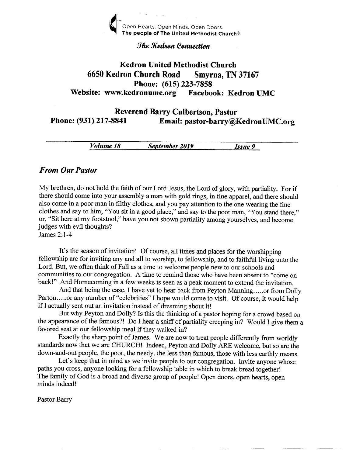

#### The Kedron Connection

# Kedron United Methodist Church <sup>6650</sup>Kedron Church Road Smyrna, TN <sup>37167</sup> Phone: (615) 223-7858 Website: www.kedronumc.org Facebook: Kedron UMC

## Reverend Barry Culbertson, Pastor Phone: (931) 217-8841 Email: pastor-barry@KedronUMC.org

Volume 18 September 2019 Issue 9

#### From Our Pastor

My brethren, do not hold the faith of our Lord Jesus, the Lord of glory, with partiality. For if there should come into your assembly a man with gold rings, in fine apparel, and there should also come in a poor man in filthy clothes, and you pay attention to the one wearing the fine clothes and say to him, "You sit in a good place," and say to the poor man, "You stand there," or, "Sit here at my footstool," have you not shown partiality among yourselves, and become judges with evil thoughts?

James 2:1-4

It's the season of invitation! Of course, all times and places for the worshipping fellowship are for inviting any and all to worship, to fellowship, and to faithful living unto the Lord. But, we often think of Fall as a time to welcome people new to our schools and communities to our congregation. A time to remind those who have been absent to "come on back!" And Homecoming in a few weeks is seen as a peak moment to extend the invitation.

And that being the case, I have yet to hear back from Peyton Manning.....or from Dolly Parton.....or any number of "celebrities" I hope would come to visit. Of course, it would help if I actually sent out an invitation instead of dreaming about it!

But why Peyton and Dolly? Is this the thinking of a pastor hoping for a crowd based on the appearance of the famous?! Do I hear a sniff of partiality creeping in? Would I give them a favored seat at our fellowship meal if they walked in?

Exactly the sharp point of James. We are now to treat people differently from worldly standards now that we are CHURCH! Indeed, Peyton and Dolly ARE welcome, but so are the down-and-out people, the poor, the needy, the less than famous, those with less earthly means.

Let's keep that in mind as we invite people to our congregation. Invite anyone whose paths you cross, anyone looking for a fellowship table in which to break bread together! The family of God is a broad and diverse group of people! Open doors, open hearts, open minds indeed!

Pastor Barry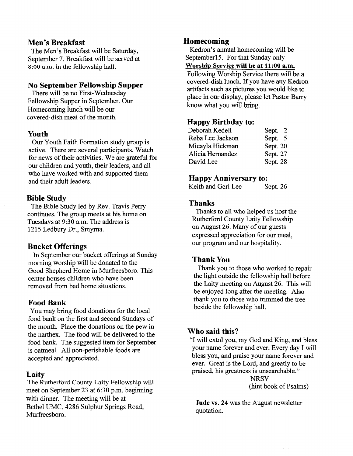### Men's Breakfast

The Men's Breakfast will be Saturday, September 7. Breakfast will be served at 8:OO a.m. in the fellowship hall.

#### No September Fellowship Supper

There will be no First-Wednesday Fellowship Supper in September. Our Homecoming lunch will be our covered-dish meal of the month.

#### Youth

Our Youth Faith Formation study group is active. There are several participants. Watch for news of their activities. We are grateful for our children and youth, their leaders, and all who have worked with and supported them and their adult leaders.

#### Bible Study

The Bible Study led by Rev. Travis Perry continues. The group meets at his home on Tuesdays at 9:30 a.m. The address is 1215 Ledbury Dr., Smyrna.

#### Bucket Offerings

ln September our bucket offerings at Sunday moming worship will be donated to the Good Shepherd Home in Murfreesboro. This center houses children who have been removed from bad home situations.

#### Food Bank

You may bring food donations for the local food bank on the first and second Sundays of the month. Place the donations on the pew in the narthex. The food will be delivered to the food bank. The suggested item for September is oatneal. Al1non-perishable foods are accepted and appreciated.

#### Laity

The Rutherford County Laity Fellowship will meet on September 23 at 6:30 p.m. beginning with dinner. The meeting will be at Bethel UMC.4286 Sulphur Springs Road, Murfreesboro.

#### Homecoming

Kedron's annual homecoming will be Septemberl5. For that Sunday only Worship Service will be at 11:00 a.m.

Following Worship Service there will be a covered-dish lunch. If you have any Kedron artifacts such as pictures you would like to place in our display, please let Pastor Barry know what you will bring.

#### Happy Birthday to:

| Sept. 2  |
|----------|
| Sept. 5  |
| Sept. 20 |
| Sept. 27 |
| Sept. 28 |
|          |

### Happy Anniversary to:

Keith and Geri Lee Sept. 26

#### Thanks

Thanks to all who helped us host the Rutherford County Laity Fellowship on August 26. Many of our guests expressed appreciation for our meal, our program and our hospitality.

### Thank You

Thank you to those who worked to repair the light outside the fellowship hall before the Laity meeting on August 26. This will be enjoyed long after the meeting. Also thank you to those who trimmed the tree beside the feliowship hall.

#### Who said this?

"I will extol you, my God and King, and bless your name forever and ever. Every day I will bless you, and praise your name forever and ever. Great is the Lord, and greatly to be praised, his greatness is unsearchable."

**NRSV** (hint book of Psalms)

Jude vs.24 was the August newsletter quotation.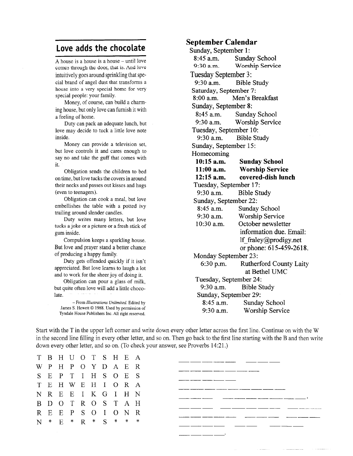# Love adds the chocolate

A house is a house is a house – until love comes through the door, that is, And love intuitively goes around sprinkling that special brand of angel dust that transforms a house into a very special home for very special people: your family.

Money, of course, can build a charming house, but only love can furnish it with a feeiing of home.

Duty can pack an adequate lunch, but love may decide to tuck a little love note inside.

Money can provide a television set, but love controls it and cares enough to say no and take the guff that comes with ir.

Obligation sends the children to bed on time, but love tucks the covers in around their necks and passes out kisses and hugs (even to teenagers).

Obligation can cook a meal, but love embellishes the table with a potted ivy trailing around slender candles.

Duty writes many letters, but love tucks a joke or a picture or a fresh stick of gum inside.

Compulsion keeps a sparkling house. But love and prayer stand a better chance of producing a happy family.

Duty gets offended quickly if it isn't appreciated. But love learns to laugh a lot and to work for the sheer joy of doing it.

Obligation can pour a glass of milk, but quite often love will add a little chocolate.

-From lllustrations Unlimited. Edited by James S. Hewett @ 1988. Used by permission of Tyndale House Publishers Inc. All right reserved.

#### September Calendar

Sunday, September 1: 8:45 a.m.  $9:30$  a.m. Sunday School Worship Service Tuesday September 3: 9:30 a.m. Bible Study Saturday, September 7: 8:00 a.m. Men's Breakfast Sunday, September 8: 8:45 a.m. Sunday School 9:30 a.m. Worship Service Tuesday, September 10: 9:30 a.m. Bible Study Sunday, September 15: Homecoming 10:15 a.m. Sunday School 11:00 a.m. Worship Service 12:15 a.m. covered-dish lunch Tuesday, September 17: 9:30 a.m. Bible Study Sunday, September 22: 8:45 a.m. Sunday School 9:30 a.m. Worship Service 10:30 a.m. October newsletter information due. Email: lf fraley@prodigy.net or phone: 61 5-459-2618. Monday September 23: 6:30 p.m. Rutherford County Laity at Bethel UMC Tuesday, September 24: 9:30 a.m. Bible Study Sunday, September 29: 8:45 a.m. Sunday School 9:30 a.m. Worship Service

Start with the T in the upper left corner and write down every other letter across the first line. Continue on with the W in the second line fllling in every other letter, and so on. Then go back to the first line starting with the B and then write down every other letter, and so on. (To check your answer, see Proverbs 14:21.)

T B H U O T S  $H$  $E$  $\mathbf{A}$ WPHPOYD  $\mathbf{A}$  $E$ R SEPTIHS  $\Omega$  $E$ S TEHWEHI  $\Omega$  $\mathbf R$  $\mathbf{A}$ NREEIK  $\mathbf{I}$  $H$  $\mathbf N$ B D O T R O S T  $\overline{A}$  $H$ REEPS OI  $\Omega$ N R N \* E \* R \*  $\overline{S}$  $\ast$ 

| - -<br>- --<br>______<br>$  -$<br>- - |
|---------------------------------------|
| - -<br>______                         |
|                                       |
|                                       |
| – <del>– – –</del>                    |
| .<br>- -<br>--                        |
| _______<br>---<br>____                |
|                                       |
|                                       |